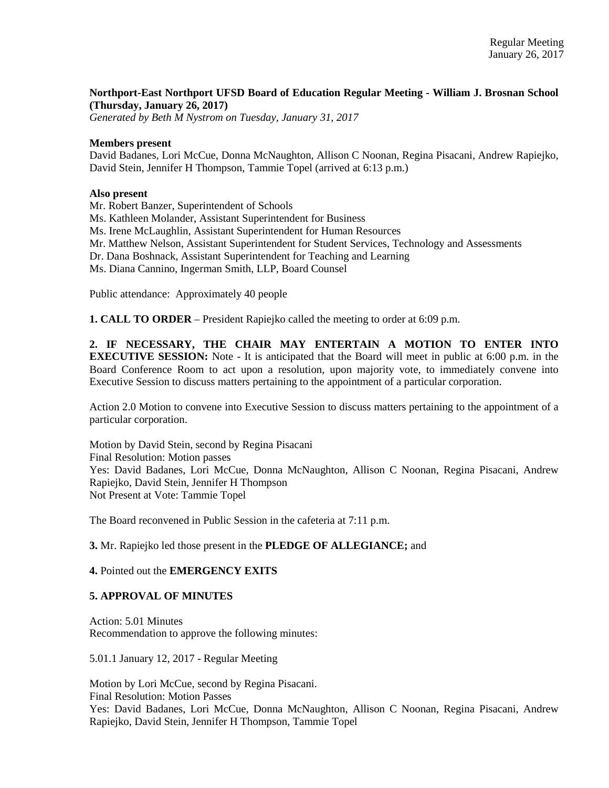# **Northport-East Northport UFSD Board of Education Regular Meeting - William J. Brosnan School (Thursday, January 26, 2017)**

*Generated by Beth M Nystrom on Tuesday, January 31, 2017*

### **Members present**

David Badanes, Lori McCue, Donna McNaughton, Allison C Noonan, Regina Pisacani, Andrew Rapiejko, David Stein, Jennifer H Thompson, Tammie Topel (arrived at 6:13 p.m.)

#### **Also present**

Mr. Robert Banzer, Superintendent of Schools

Ms. Kathleen Molander, Assistant Superintendent for Business

Ms. Irene McLaughlin, Assistant Superintendent for Human Resources

Mr. Matthew Nelson, Assistant Superintendent for Student Services, Technology and Assessments

Dr. Dana Boshnack, Assistant Superintendent for Teaching and Learning

Ms. Diana Cannino, Ingerman Smith, LLP, Board Counsel

Public attendance: Approximately 40 people

**1. CALL TO ORDER** – President Rapiejko called the meeting to order at 6:09 p.m.

**2. IF NECESSARY, THE CHAIR MAY ENTERTAIN A MOTION TO ENTER INTO EXECUTIVE SESSION:** Note - It is anticipated that the Board will meet in public at 6:00 p.m. in the Board Conference Room to act upon a resolution, upon majority vote, to immediately convene into Executive Session to discuss matters pertaining to the appointment of a particular corporation.

Action 2.0 Motion to convene into Executive Session to discuss matters pertaining to the appointment of a particular corporation.

Motion by David Stein, second by Regina Pisacani Final Resolution: Motion passes Yes: David Badanes, Lori McCue, Donna McNaughton, Allison C Noonan, Regina Pisacani, Andrew Rapiejko, David Stein, Jennifer H Thompson Not Present at Vote: Tammie Topel

The Board reconvened in Public Session in the cafeteria at 7:11 p.m.

### **3.** Mr. Rapiejko led those present in the **PLEDGE OF ALLEGIANCE;** and

### **4.** Pointed out the **EMERGENCY EXITS**

### **5. APPROVAL OF MINUTES**

Action: 5.01 Minutes Recommendation to approve the following minutes:

5.01.1 January 12, 2017 - Regular Meeting

Motion by Lori McCue, second by Regina Pisacani. Final Resolution: Motion Passes Yes: David Badanes, Lori McCue, Donna McNaughton, Allison C Noonan, Regina Pisacani, Andrew Rapiejko, David Stein, Jennifer H Thompson, Tammie Topel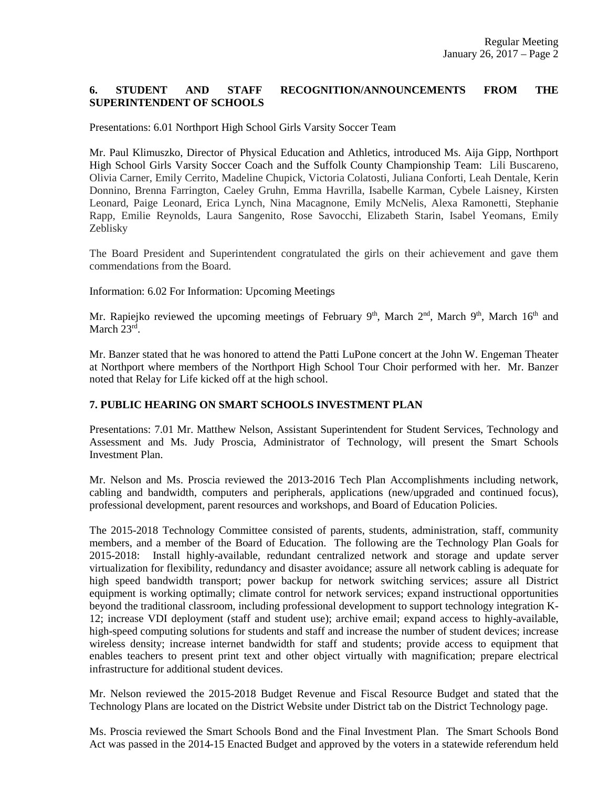# **6. STUDENT AND STAFF RECOGNITION/ANNOUNCEMENTS FROM THE SUPERINTENDENT OF SCHOOLS**

Presentations: 6.01 Northport High School Girls Varsity Soccer Team

Mr. Paul Klimuszko, Director of Physical Education and Athletics, introduced Ms. Aija Gipp, Northport High School Girls Varsity Soccer Coach and the Suffolk County Championship Team: Lili Buscareno, Olivia Carner, Emily Cerrito, Madeline Chupick, Victoria Colatosti, Juliana Conforti, Leah Dentale, Kerin Donnino, Brenna Farrington, Caeley Gruhn, Emma Havrilla, Isabelle Karman, Cybele Laisney, Kirsten Leonard, Paige Leonard, Erica Lynch, Nina Macagnone, Emily McNelis, Alexa Ramonetti, Stephanie Rapp, Emilie Reynolds, Laura Sangenito, Rose Savocchi, Elizabeth Starin, Isabel Yeomans, Emily Zeblisky

The Board President and Superintendent congratulated the girls on their achievement and gave them commendations from the Board.

Information: 6.02 For Information: Upcoming Meetings

Mr. Rapiejko reviewed the upcoming meetings of February  $9<sup>th</sup>$ , March  $2<sup>nd</sup>$ , March  $9<sup>th</sup>$ , March  $16<sup>th</sup>$  and March 23<sup>rd</sup>.

Mr. Banzer stated that he was honored to attend the Patti LuPone concert at the John W. Engeman Theater at Northport where members of the Northport High School Tour Choir performed with her. Mr. Banzer noted that Relay for Life kicked off at the high school.

### **7. PUBLIC HEARING ON SMART SCHOOLS INVESTMENT PLAN**

Presentations: 7.01 Mr. Matthew Nelson, Assistant Superintendent for Student Services, Technology and Assessment and Ms. Judy Proscia, Administrator of Technology, will present the Smart Schools Investment Plan.

Mr. Nelson and Ms. Proscia reviewed the 2013-2016 Tech Plan Accomplishments including network, cabling and bandwidth, computers and peripherals, applications (new/upgraded and continued focus), professional development, parent resources and workshops, and Board of Education Policies.

The 2015-2018 Technology Committee consisted of parents, students, administration, staff, community members, and a member of the Board of Education. The following are the Technology Plan Goals for 2015-2018: Install highly-available, redundant centralized network and storage and update server virtualization for flexibility, redundancy and disaster avoidance; assure all network cabling is adequate for high speed bandwidth transport; power backup for network switching services; assure all District equipment is working optimally; climate control for network services; expand instructional opportunities beyond the traditional classroom, including professional development to support technology integration K-12; increase VDI deployment (staff and student use); archive email; expand access to highly-available, high-speed computing solutions for students and staff and increase the number of student devices; increase wireless density; increase internet bandwidth for staff and students; provide access to equipment that enables teachers to present print text and other object virtually with magnification; prepare electrical infrastructure for additional student devices.

Mr. Nelson reviewed the 2015-2018 Budget Revenue and Fiscal Resource Budget and stated that the Technology Plans are located on the District Website under District tab on the District Technology page.

Ms. Proscia reviewed the Smart Schools Bond and the Final Investment Plan. The Smart Schools Bond Act was passed in the 2014-15 Enacted Budget and approved by the voters in a statewide referendum held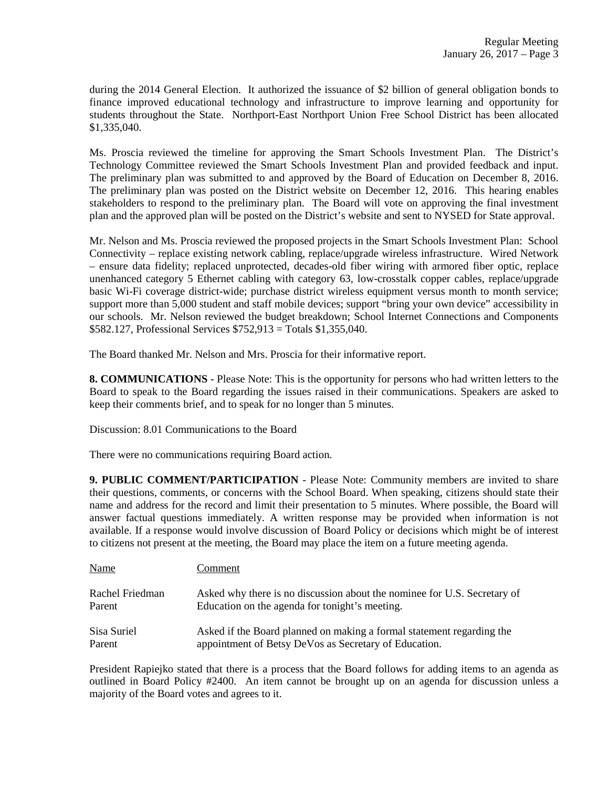during the 2014 General Election. It authorized the issuance of \$2 billion of general obligation bonds to finance improved educational technology and infrastructure to improve learning and opportunity for students throughout the State. Northport-East Northport Union Free School District has been allocated \$1,335,040.

Ms. Proscia reviewed the timeline for approving the Smart Schools Investment Plan. The District's Technology Committee reviewed the Smart Schools Investment Plan and provided feedback and input. The preliminary plan was submitted to and approved by the Board of Education on December 8, 2016. The preliminary plan was posted on the District website on December 12, 2016. This hearing enables stakeholders to respond to the preliminary plan. The Board will vote on approving the final investment plan and the approved plan will be posted on the District's website and sent to NYSED for State approval.

Mr. Nelson and Ms. Proscia reviewed the proposed projects in the Smart Schools Investment Plan: School Connectivity – replace existing network cabling, replace/upgrade wireless infrastructure. Wired Network – ensure data fidelity; replaced unprotected, decades-old fiber wiring with armored fiber optic, replace unenhanced category 5 Ethernet cabling with category 63, low-crosstalk copper cables, replace/upgrade basic Wi-Fi coverage district-wide; purchase district wireless equipment versus month to month service; support more than 5,000 student and staff mobile devices; support "bring your own device" accessibility in our schools. Mr. Nelson reviewed the budget breakdown; School Internet Connections and Components \$582.127, Professional Services \$752,913 = Totals \$1,355,040.

The Board thanked Mr. Nelson and Mrs. Proscia for their informative report.

**8. COMMUNICATIONS** - Please Note: This is the opportunity for persons who had written letters to the Board to speak to the Board regarding the issues raised in their communications. Speakers are asked to keep their comments brief, and to speak for no longer than 5 minutes.

Discussion: 8.01 Communications to the Board

There were no communications requiring Board action.

**9. PUBLIC COMMENT/PARTICIPATION** - Please Note: Community members are invited to share their questions, comments, or concerns with the School Board. When speaking, citizens should state their name and address for the record and limit their presentation to 5 minutes. Where possible, the Board will answer factual questions immediately. A written response may be provided when information is not available. If a response would involve discussion of Board Policy or decisions which might be of interest to citizens not present at the meeting, the Board may place the item on a future meeting agenda.

| <b>Name</b>     | Comment                                                                  |
|-----------------|--------------------------------------------------------------------------|
| Rachel Friedman | Asked why there is no discussion about the nominee for U.S. Secretary of |
| Parent          | Education on the agenda for tonight's meeting.                           |
| Sisa Suriel     | Asked if the Board planned on making a formal statement regarding the    |
| Parent          | appointment of Betsy DeVos as Secretary of Education.                    |

President Rapiejko stated that there is a process that the Board follows for adding items to an agenda as outlined in Board Policy #2400. An item cannot be brought up on an agenda for discussion unless a majority of the Board votes and agrees to it.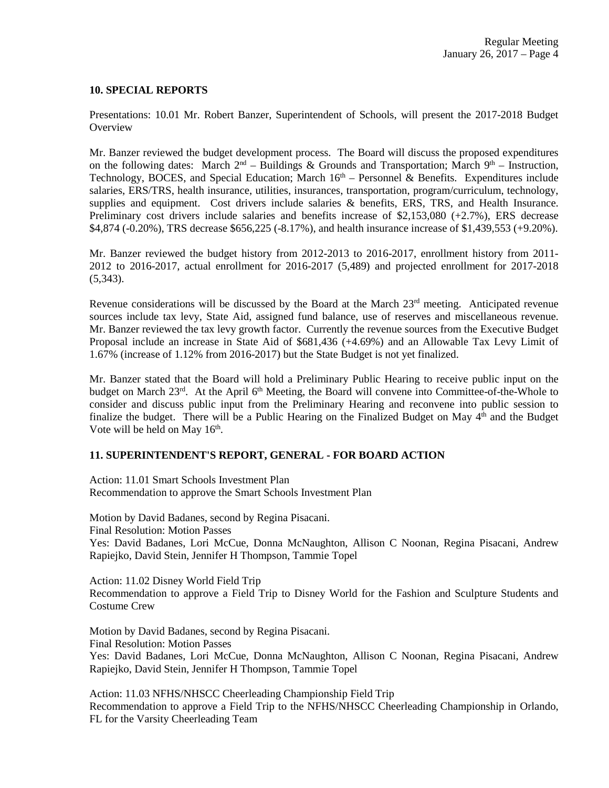### **10. SPECIAL REPORTS**

Presentations: 10.01 Mr. Robert Banzer, Superintendent of Schools, will present the 2017-2018 Budget **Overview** 

Mr. Banzer reviewed the budget development process. The Board will discuss the proposed expenditures on the following dates: March  $2^{nd}$  – Buildings & Grounds and Transportation; March  $9^{th}$  – Instruction, Technology, BOCES, and Special Education; March  $16<sup>th</sup>$  – Personnel & Benefits. Expenditures include salaries, ERS/TRS, health insurance, utilities, insurances, transportation, program/curriculum, technology, supplies and equipment. Cost drivers include salaries & benefits, ERS, TRS, and Health Insurance. Preliminary cost drivers include salaries and benefits increase of \$2,153,080 (+2.7%), ERS decrease \$4,874 (-0.20%), TRS decrease \$656,225 (-8.17%), and health insurance increase of \$1,439,553 (+9.20%).

Mr. Banzer reviewed the budget history from 2012-2013 to 2016-2017, enrollment history from 2011- 2012 to 2016-2017, actual enrollment for 2016-2017 (5,489) and projected enrollment for 2017-2018  $(5,343)$ .

Revenue considerations will be discussed by the Board at the March 23<sup>rd</sup> meeting. Anticipated revenue sources include tax levy, State Aid, assigned fund balance, use of reserves and miscellaneous revenue. Mr. Banzer reviewed the tax levy growth factor. Currently the revenue sources from the Executive Budget Proposal include an increase in State Aid of \$681,436 (+4.69%) and an Allowable Tax Levy Limit of 1.67% (increase of 1.12% from 2016-2017) but the State Budget is not yet finalized.

Mr. Banzer stated that the Board will hold a Preliminary Public Hearing to receive public input on the budget on March 23<sup>rd</sup>. At the April 6<sup>th</sup> Meeting, the Board will convene into Committee-of-the-Whole to consider and discuss public input from the Preliminary Hearing and reconvene into public session to finalize the budget. There will be a Public Hearing on the Finalized Budget on May  $4<sup>th</sup>$  and the Budget Vote will be held on May 16<sup>th</sup>.

### **11. SUPERINTENDENT'S REPORT, GENERAL - FOR BOARD ACTION**

Action: 11.01 Smart Schools Investment Plan Recommendation to approve the Smart Schools Investment Plan

Motion by David Badanes, second by Regina Pisacani. Final Resolution: Motion Passes Yes: David Badanes, Lori McCue, Donna McNaughton, Allison C Noonan, Regina Pisacani, Andrew Rapiejko, David Stein, Jennifer H Thompson, Tammie Topel

Action: 11.02 Disney World Field Trip Recommendation to approve a Field Trip to Disney World for the Fashion and Sculpture Students and Costume Crew

Motion by David Badanes, second by Regina Pisacani. Final Resolution: Motion Passes Yes: David Badanes, Lori McCue, Donna McNaughton, Allison C Noonan, Regina Pisacani, Andrew Rapiejko, David Stein, Jennifer H Thompson, Tammie Topel

Action: 11.03 NFHS/NHSCC Cheerleading Championship Field Trip Recommendation to approve a Field Trip to the NFHS/NHSCC Cheerleading Championship in Orlando, FL for the Varsity Cheerleading Team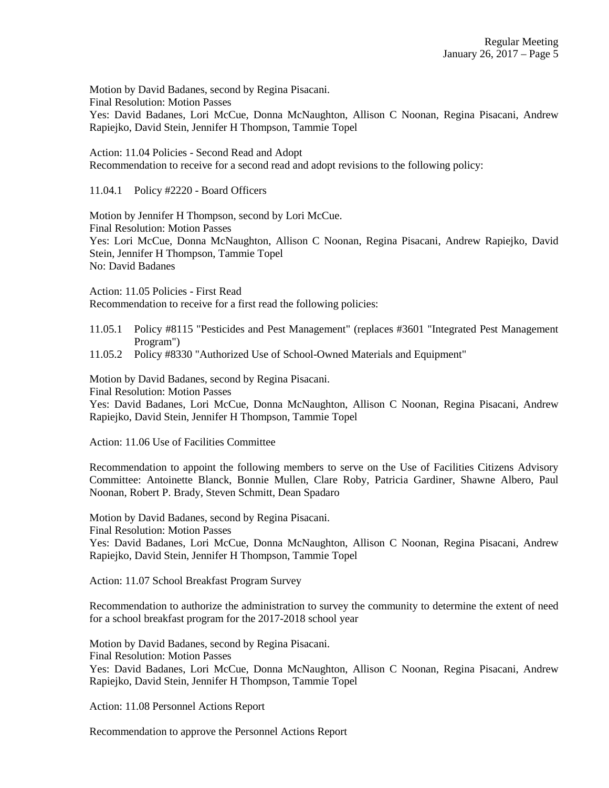Motion by David Badanes, second by Regina Pisacani. Final Resolution: Motion Passes Yes: David Badanes, Lori McCue, Donna McNaughton, Allison C Noonan, Regina Pisacani, Andrew Rapiejko, David Stein, Jennifer H Thompson, Tammie Topel

Action: 11.04 Policies - Second Read and Adopt Recommendation to receive for a second read and adopt revisions to the following policy:

11.04.1 Policy #2220 - Board Officers

Motion by Jennifer H Thompson, second by Lori McCue. Final Resolution: Motion Passes Yes: Lori McCue, Donna McNaughton, Allison C Noonan, Regina Pisacani, Andrew Rapiejko, David Stein, Jennifer H Thompson, Tammie Topel No: David Badanes

Action: 11.05 Policies - First Read Recommendation to receive for a first read the following policies:

11.05.1 Policy #8115 "Pesticides and Pest Management" (replaces #3601 "Integrated Pest Management Program")

11.05.2 Policy #8330 "Authorized Use of School-Owned Materials and Equipment"

Motion by David Badanes, second by Regina Pisacani.

Final Resolution: Motion Passes

Yes: David Badanes, Lori McCue, Donna McNaughton, Allison C Noonan, Regina Pisacani, Andrew Rapiejko, David Stein, Jennifer H Thompson, Tammie Topel

Action: 11.06 Use of Facilities Committee

Recommendation to appoint the following members to serve on the Use of Facilities Citizens Advisory Committee: Antoinette Blanck, Bonnie Mullen, Clare Roby, Patricia Gardiner, Shawne Albero, Paul Noonan, Robert P. Brady, Steven Schmitt, Dean Spadaro

Motion by David Badanes, second by Regina Pisacani.

Final Resolution: Motion Passes

Yes: David Badanes, Lori McCue, Donna McNaughton, Allison C Noonan, Regina Pisacani, Andrew Rapiejko, David Stein, Jennifer H Thompson, Tammie Topel

Action: 11.07 School Breakfast Program Survey

Recommendation to authorize the administration to survey the community to determine the extent of need for a school breakfast program for the 2017-2018 school year

Motion by David Badanes, second by Regina Pisacani. Final Resolution: Motion Passes Yes: David Badanes, Lori McCue, Donna McNaughton, Allison C Noonan, Regina Pisacani, Andrew Rapiejko, David Stein, Jennifer H Thompson, Tammie Topel

Action: 11.08 Personnel Actions Report

Recommendation to approve the Personnel Actions Report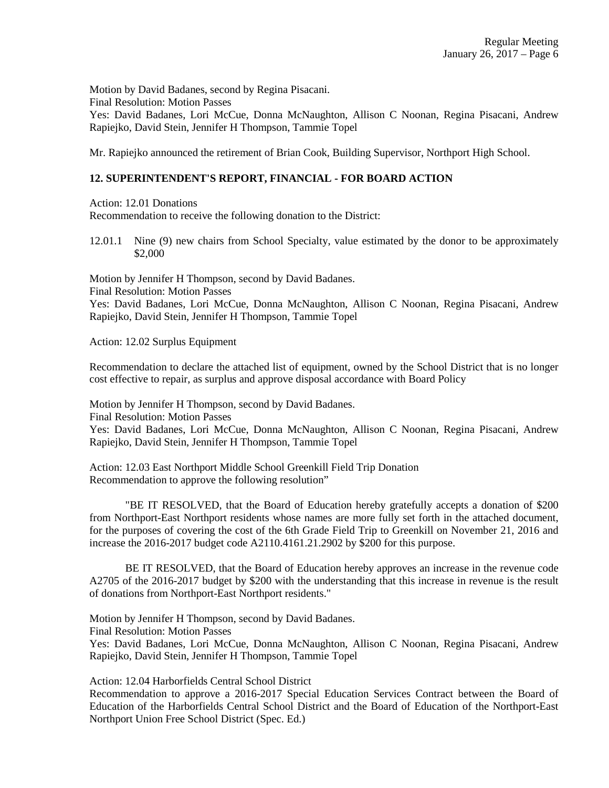Motion by David Badanes, second by Regina Pisacani. Final Resolution: Motion Passes Yes: David Badanes, Lori McCue, Donna McNaughton, Allison C Noonan, Regina Pisacani, Andrew Rapiejko, David Stein, Jennifer H Thompson, Tammie Topel

Mr. Rapiejko announced the retirement of Brian Cook, Building Supervisor, Northport High School.

### **12. SUPERINTENDENT'S REPORT, FINANCIAL - FOR BOARD ACTION**

Action: 12.01 Donations

Recommendation to receive the following donation to the District:

12.01.1 Nine (9) new chairs from School Specialty, value estimated by the donor to be approximately \$2,000

Motion by Jennifer H Thompson, second by David Badanes. Final Resolution: Motion Passes

Yes: David Badanes, Lori McCue, Donna McNaughton, Allison C Noonan, Regina Pisacani, Andrew Rapiejko, David Stein, Jennifer H Thompson, Tammie Topel

Action: 12.02 Surplus Equipment

Recommendation to declare the attached list of equipment, owned by the School District that is no longer cost effective to repair, as surplus and approve disposal accordance with Board Policy

Motion by Jennifer H Thompson, second by David Badanes.

Final Resolution: Motion Passes

Yes: David Badanes, Lori McCue, Donna McNaughton, Allison C Noonan, Regina Pisacani, Andrew Rapiejko, David Stein, Jennifer H Thompson, Tammie Topel

Action: 12.03 East Northport Middle School Greenkill Field Trip Donation Recommendation to approve the following resolution"

"BE IT RESOLVED, that the Board of Education hereby gratefully accepts a donation of \$200 from Northport-East Northport residents whose names are more fully set forth in the attached document, for the purposes of covering the cost of the 6th Grade Field Trip to Greenkill on November 21, 2016 and increase the 2016-2017 budget code A2110.4161.21.2902 by \$200 for this purpose.

BE IT RESOLVED, that the Board of Education hereby approves an increase in the revenue code A2705 of the 2016-2017 budget by \$200 with the understanding that this increase in revenue is the result of donations from Northport-East Northport residents."

Motion by Jennifer H Thompson, second by David Badanes.

Final Resolution: Motion Passes

Yes: David Badanes, Lori McCue, Donna McNaughton, Allison C Noonan, Regina Pisacani, Andrew Rapiejko, David Stein, Jennifer H Thompson, Tammie Topel

Action: 12.04 Harborfields Central School District

Recommendation to approve a 2016-2017 Special Education Services Contract between the Board of Education of the Harborfields Central School District and the Board of Education of the Northport-East Northport Union Free School District (Spec. Ed.)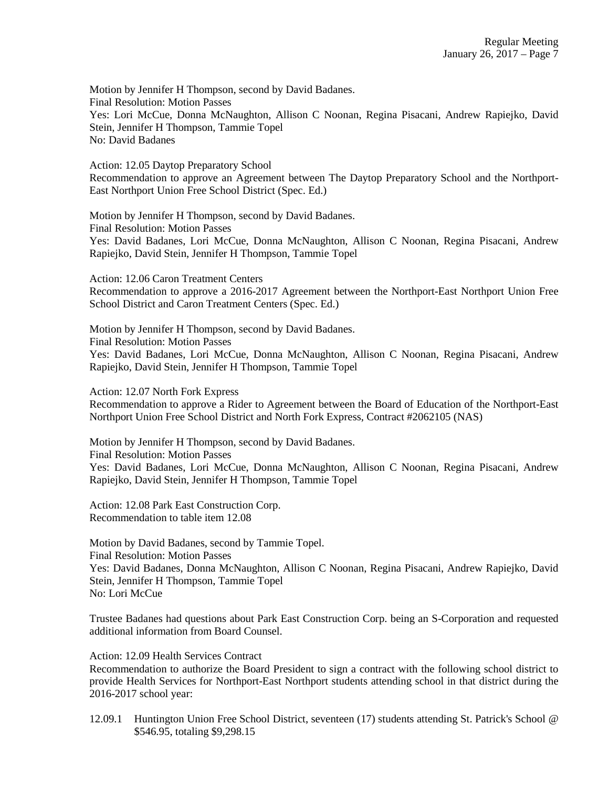Motion by Jennifer H Thompson, second by David Badanes. Final Resolution: Motion Passes Yes: Lori McCue, Donna McNaughton, Allison C Noonan, Regina Pisacani, Andrew Rapiejko, David Stein, Jennifer H Thompson, Tammie Topel No: David Badanes

Action: 12.05 Daytop Preparatory School Recommendation to approve an Agreement between The Daytop Preparatory School and the Northport-East Northport Union Free School District (Spec. Ed.)

Motion by Jennifer H Thompson, second by David Badanes. Final Resolution: Motion Passes Yes: David Badanes, Lori McCue, Donna McNaughton, Allison C Noonan, Regina Pisacani, Andrew Rapiejko, David Stein, Jennifer H Thompson, Tammie Topel

Action: 12.06 Caron Treatment Centers Recommendation to approve a 2016-2017 Agreement between the Northport-East Northport Union Free School District and Caron Treatment Centers (Spec. Ed.)

Motion by Jennifer H Thompson, second by David Badanes. Final Resolution: Motion Passes Yes: David Badanes, Lori McCue, Donna McNaughton, Allison C Noonan, Regina Pisacani, Andrew Rapiejko, David Stein, Jennifer H Thompson, Tammie Topel

Action: 12.07 North Fork Express

Recommendation to approve a Rider to Agreement between the Board of Education of the Northport-East Northport Union Free School District and North Fork Express, Contract #2062105 (NAS)

Motion by Jennifer H Thompson, second by David Badanes. Final Resolution: Motion Passes Yes: David Badanes, Lori McCue, Donna McNaughton, Allison C Noonan, Regina Pisacani, Andrew Rapiejko, David Stein, Jennifer H Thompson, Tammie Topel

Action: 12.08 Park East Construction Corp. Recommendation to table item 12.08

Motion by David Badanes, second by Tammie Topel. Final Resolution: Motion Passes Yes: David Badanes, Donna McNaughton, Allison C Noonan, Regina Pisacani, Andrew Rapiejko, David Stein, Jennifer H Thompson, Tammie Topel No: Lori McCue

Trustee Badanes had questions about Park East Construction Corp. being an S-Corporation and requested additional information from Board Counsel.

Action: 12.09 Health Services Contract

Recommendation to authorize the Board President to sign a contract with the following school district to provide Health Services for Northport-East Northport students attending school in that district during the 2016-2017 school year:

12.09.1 Huntington Union Free School District, seventeen (17) students attending St. Patrick's School @ \$546.95, totaling \$9,298.15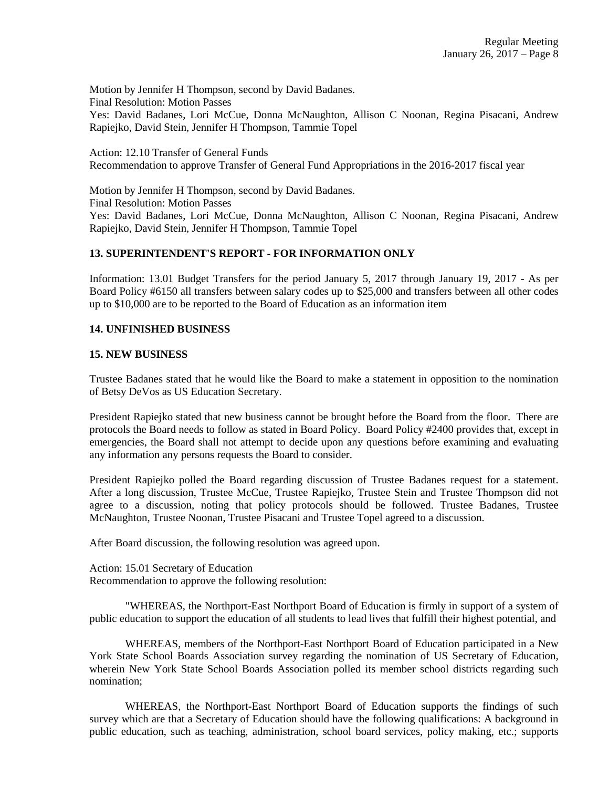Motion by Jennifer H Thompson, second by David Badanes. Final Resolution: Motion Passes Yes: David Badanes, Lori McCue, Donna McNaughton, Allison C Noonan, Regina Pisacani, Andrew Rapiejko, David Stein, Jennifer H Thompson, Tammie Topel

Action: 12.10 Transfer of General Funds Recommendation to approve Transfer of General Fund Appropriations in the 2016-2017 fiscal year

Motion by Jennifer H Thompson, second by David Badanes. Final Resolution: Motion Passes Yes: David Badanes, Lori McCue, Donna McNaughton, Allison C Noonan, Regina Pisacani, Andrew Rapiejko, David Stein, Jennifer H Thompson, Tammie Topel

### **13. SUPERINTENDENT'S REPORT - FOR INFORMATION ONLY**

Information: 13.01 Budget Transfers for the period January 5, 2017 through January 19, 2017 - As per Board Policy #6150 all transfers between salary codes up to \$25,000 and transfers between all other codes up to \$10,000 are to be reported to the Board of Education as an information item

### **14. UNFINISHED BUSINESS**

### **15. NEW BUSINESS**

Trustee Badanes stated that he would like the Board to make a statement in opposition to the nomination of Betsy DeVos as US Education Secretary.

President Rapiejko stated that new business cannot be brought before the Board from the floor. There are protocols the Board needs to follow as stated in Board Policy. Board Policy #2400 provides that, except in emergencies, the Board shall not attempt to decide upon any questions before examining and evaluating any information any persons requests the Board to consider.

President Rapiejko polled the Board regarding discussion of Trustee Badanes request for a statement. After a long discussion, Trustee McCue, Trustee Rapiejko, Trustee Stein and Trustee Thompson did not agree to a discussion, noting that policy protocols should be followed. Trustee Badanes, Trustee McNaughton, Trustee Noonan, Trustee Pisacani and Trustee Topel agreed to a discussion.

After Board discussion, the following resolution was agreed upon.

Action: 15.01 Secretary of Education Recommendation to approve the following resolution:

"WHEREAS, the Northport-East Northport Board of Education is firmly in support of a system of public education to support the education of all students to lead lives that fulfill their highest potential, and

WHEREAS, members of the Northport-East Northport Board of Education participated in a New York State School Boards Association survey regarding the nomination of US Secretary of Education, wherein New York State School Boards Association polled its member school districts regarding such nomination;

WHEREAS, the Northport-East Northport Board of Education supports the findings of such survey which are that a Secretary of Education should have the following qualifications: A background in public education, such as teaching, administration, school board services, policy making, etc.; supports